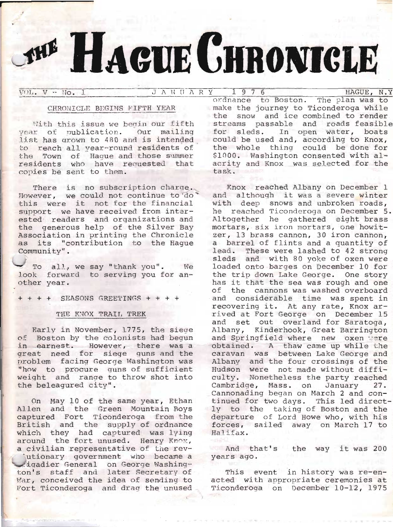# **ELACUE CHRONICLE**

 $VOL. V - IO. J.$ 

 $J$  A N U A R Y  $1$  9 7 6

# CHRONICLE BEGINS FIFTH YEAR

With this issue we begin our fifth year of publication. Our mailing list has grown to 480 and is intended to reach all year-round residents of the Town of Haque and those summer residents who have requested that copies be sent to them.

There is no subscription charge. However, we could not continue to do this were it not for the financial support we have received from interested readers and organizations and the generous help of the Silver Bay Association in printing the Chronicle as its "contribution to the Haque Community".

To all, we say "thank you". We look forward to serving you for another year.

 $++++$  SEASONS GREETINGS + + + +

## THE KNOX TRAIL TREK

Early in November, 1775, the siege of Boston by the colonists had begun in earnest. However, there was a great need for siege guns and the problem facing George Washington was "how to procure guns of sufficient weight and range to throw shot into the beleagured city".

On May 10 of the same year, Ethan Allen and the Green Mountain Boys captured Fort Ticonderoga from the British and the supply of ordnance<br>which they had captured was lying around the fort unused. Henry Knox, a civilian representative of the rev-'utionary government who became a igadier General on George Washington's staff and later Secretary of War, conceived the idea of sending to Fort Ticonderoga and drag the unused

HAGUE, N.Y ordnance to Boston. The plan was to make the journey to Ticonderoga while the snow and ice combined to render streams passable and roads feasible for sleds. In open water, boats could be used and, according to Knox, the whole thing could be done for \$1000. Washington consented with alacrity and Knox was selected for the task.

Knox reached Albany on December 1 and although it was a severe winter with deep snows and unbroken roads, he reached Ticonderoga on December 5. Altogether he gathered eight brass mortars, six iron mortars, one howitzer, 13 brass cannon, 30 iron cannon, a barrel of flints and a quantity of lead. These were lashed to 42 strong sleds and with 80 yoke of oxen were loaded onto barges on December 10 for the trip down Lake George. One story has it that the sea was rough and one of the cannons was washed overboard and considerable time was spent in recovering it. At any rate, Knox arrived at Fort George on December 15 and set out overland for Saratoga, Albany, Kinderhook, Great Barrington and Springfield where new oxen ware obtained. A thaw came up while the caravan was between Lake George and Albany and the four crossings of the Hudson were not made without difficulty. Nonetheless the party reached Cambridge, Mass. on January 27.<br>Cannonading began on March 2 and continued for two days. This led directly to the taking of Boston and the departure of Lord Howe who, with his forces, sailed away on March 17 to Halifax.

And that's the way it was 200 years ago.

This event in history was re-enacted with appropriate ceremonies at Ticonderoga on December 10-12, 1975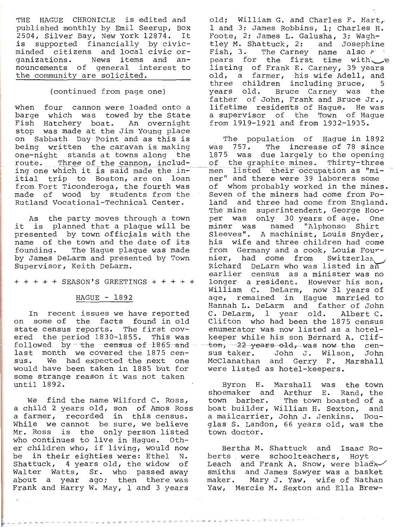THE HAGUE CHRONICLE is edited and<br>published monthly by Emil Seerup, Box<br>2504, Silver Bay, New York 12874. It<br>is supported financially by civic-<br>minded citizens and local civic or-<br>ganizations. News items and announcements of general interest to<br>the community are solicited.

# (continued from page one)

being written the caravan is making was 757. The increase of 78 since<br>one-night stands at towns along the 1875 was due largely to the opening<br>route. Three of the cannon, includ- of the graphite mines. Thirty-three<br>ing one when four cannon were loaded onto a<br>barge which was towed by the State<br>Fish Hatchery boat. An overnight<br>stop was made at the Jim Young place<br>on Sabbath Day Point and as this is from Fort Ticonderogd, the fourth was made of wood by students from the Rutland Vocational-Technical Center.

As the party moves through a town<br>it is planned that a plaque will be<br>presented by town officials with the<br>name of the town and the date of its founding. The Hague plaque was made<br>by James DeLarm and presented by Town<br>Supervisor, Keith DeLarm.

 $+ + + + +$  SEASON'S GREETINGS  $+ + + + +$ 

# $HAGUE - 1892$

In recent issues we have reported<br>on some of the facts found in old<br>state census reports. The first cov-<br>ered the period. 1830-1855. This was<br>followed by - the census of 1865 and<br>last month we covered the 1875 census. We had expected the next one would have been taken in 1BB5 but for some strange reason it was not taken until 1892.

We find the name Wilford C. Ross, a child 2 years old, son of Amos Ross<br>a farmer, recorded in this census.<br>While we cannot be sure, we believe<br>Mr. Ross is the only person listed who continues to live in Hague. Oth-<br>er children who, if living, would now be in their eighties were: Ethel N. Shattuck, 4 years old, the widow of<br>Walter Watts, Sr. who passed away about a warter wates, sr. who passed away<br>about a year ago; then there was<br>Frank and Harry W. May, 1 and 3 years

old; William G. and Charles F. Hart, 1 and 3; James Robbins, 1; Charles H. Foote, 2; James L. Galusha, 3; Wagh-<br>tley M. Shattuck, 2; and Josephine Fish, 3. The Carney name also ?..<br>pears for the first time with pears for the Frank E. Carney, 39 years old, a farmer, his wife Adell, and three children including Bruce, 5 years old. Bruce Carney was the years<br>father of John, Frank and Bruce Jr.,<br>lifetime residents of Haque. He was a supervisor of the Town of Hague from L9L9-I92I and from I932-L935.

The population of Haque in 1892 was 757. The increase of 78 since of whom probably worked in the mines. Seven of the miners had come from Po-<br>land and three had come from England.<br>The mine superintendent, George Hoo-<br>per was only 30 years of age. One miner was named "Alphonso Shirt<br>Sleeves". A machinist, Louis Snyder,<br>his wife and three children had come<br>from Germany and a cook, Louis Four-<br>nier, had come from Switzerlan<br>Richard DeLarm who was listed in an<br>earlier cens C. DeLarm, 1 year old. Albert C.<br>Clifton who had been the 1875 census<br>enumerator was now listed as a hotelkeeper while his son Bernard A. Clif-<br>ton, 22 years old, was now the cen-<br>sus taker. John J. Wilson, John McClanathan and Gerry F. Marshall were listed as hotel-keepers.

Byron H. Marshall was the town<br>shoemaker and Arthur E. Rand, the<br>town barber. The town boasted of a<br>boat builder, William H. Sexton, and a mailcarrier, John J. Jenkins. Dou-<br>glas S. Landon, 66 years old, was the town doctor.

Bertha M. Shattuck and Isaac Ro-<br>berts were schoolteachers, Hoyt<br>Leach and Frank A. Snow, were bladx-/<br>smiths and James Sawyer was a basket<br>maker. Mary J. Yaw, wife of Nathan<br>Yaw, Mercie M. Sexton and Ella Brew-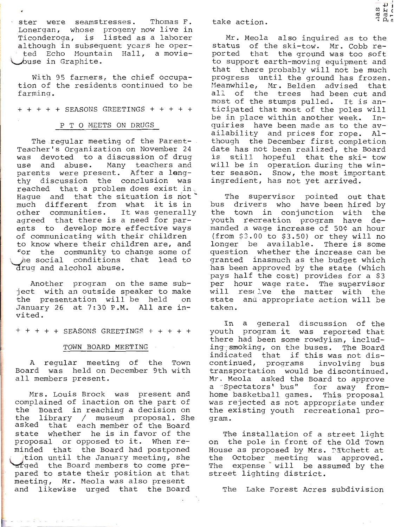I ster were seamstresses. Thomas F.<br>Lonergan, whose progeny now live in Ticonderoga, is listed as a laborer<br>although in subsequent ycars he oper-<br>ted Echo Mountain Hall, a moviebuse in Graphite.

With 95 farmers, the chief occupa-<br>tion of the residents continued to be<br>farming.

+ + + + + SEASONS GREETINGS + + + + +

### P T O MEETS ON DRUGS

The regular meeting of the Parent-Teacher's Organization on November 24 was devoted to a discussion of drug<br>use and abuse. Many teachers and<br>parents were present. After a leng-<br>thy discussion the conclusion was<br>reached that a problem does exist in. reacned that a problem does exist in the situation is not \* much different from what it is in<br>other communities. It was generally<br>agreed that there is a need for par-<br>ents to develop more effective ways<br>of communicating with their children<br>to know where their children are, and<br>for for the community to change some of<br>the social conditions that lead to<br>drug and alcohol abuse.

Another program on the same sub-<br>ject with an outside speaker to make<br>the presentation will be held on<br>January 26 at 7:30 P.M. All are in-<br>vited.

 $+ + + +$  SEASONS GREETINGS  $+ + + + +$ 

### TOWN BOARD MEETING

A regular meeting of the Town<br>Board was held on December 9th with<br>all members present.

Mrs. Louis Brock was present and complained of inaction on the part of<br>the Board in reaching a decision on<br>the library / museum proposal. She<br>asked that each member of the Board<br>state whether he is in favor of the<br>proposal or opposed to it. When re-<br>minde tion until the January meeting, she<br>trged the Board members to come pre-<br>pared to state their position at that<br>meeting, Mr. Meola was also present<br>and likewise urged that the Board

take action.

r<br>0 d<br>0 d Mr. Meola also inquired as to the<br>status of the ski-tow. Mr. Cobb re-<br>ported that the ground was too soft<br>to support earth-moving equipment and<br>that there probably will not be much<br>progress until the ground has frozen.<br>Mea

 $\frac{1}{2}$ 

The supervisor pointed out that<br>bus drivers who have been hired by<br>the town in conjunction with the youth recreation program have de-<br>manded a wage increase of 50¢ an hour manded a wage increase of 50¢ an hour<br>(from \$3.00 to \$3.50) or they will no<br>longer be available. There is some<br>question whether the increase can be<br>granted inasmuch as the budget which<br>has been approved by the state (which

In a general discussion of the<br>youth program it was reported that<br>there had been some rowdyism, includ-<br>ing-smoking, on the buses. The Board<br>indicated that if this was not dis-<br>continued, programs involving bus<br>transportat was rejected as not appropriate under<br>the existing youth recreational pro-<br>gram.

The installation of a street light<br>on the pole in front of the Old Town House as proposed by Mrs. Patchett at<br>the October meeting was approved.<br>The expense will be assumed by the<br>street lighting district.

The Lake Forest Acres subdivision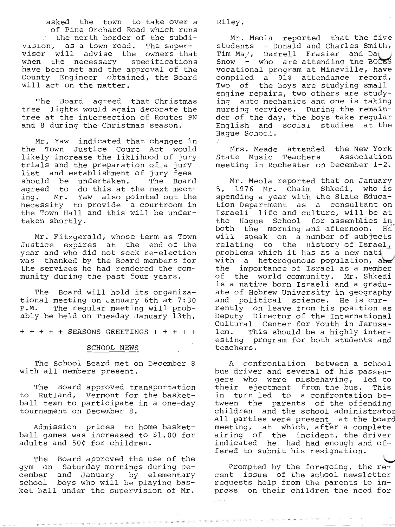asked the town to take over a<br>of Pine Orchard Road which runs<br>' the north border of the subdivision, as a town road. The super-<br>visor will advise the owners that<br>when the necessary specifications<br>have been met and the approval of the<br>County Engineer obtained, the Board<br>will act on the matter.

Ine Board agreed that Christmas<br>tree lights would again decorate the<br>tree at the intersection of Routes 9N<br>and 8 during the Christmas season. and 8 during the Christmas season. The Board agreed that Christmas

Mr. Yaw indicated that changes in<br>the Town Justice Court Act would<br>likely increase the liklihood of jury<br>trials and the preparation of a jury<br>list and establishment of jury fees<br>should be undertaken. The Board<br>agreed to do

Mr. Fitzgerald, whose term as Town Justice expires at the end of the year and who did not seek re-election was thanked by the Board members for the services he had rendered the com- munity during the past four years.

The Board will hold its organiza-<br>tional meeting on January 6th at 7:30<br>P.M. The regular meeting will prob-<br>ably be held on Tuesday January 13th.

+ + + + + SEASONS GREETINGS + + + + +

### SCHOOL NEWS

The School Board met on December with all members present.

The Board approved transportation<br>to Rutland, Vermont for the basket-<br>ball team to participate in a one-day<br>tournament on December 8.

Admission prices to home basket-<br>ball games was increased to \$1.00 for<br>adults and 50¢ for children.

The Board approved the use of the gym on Saturday mornings during De-<br>cember and January by elementary<br>school boys who will be playing bas-<br>ket ball under the supervision of Mr.

The project of the con-

under the property of the con-

Riley

Mr. Meola reported that the five<br>students - Donald and Charles Smith.<br>Tim May, Darrell Frasier and Da<br>Snow - who are attending the BOCES<br>vocational program at Mineville, have<br>compiled a 91% attendance record.<br>Two of the bo ing auto mechanics and one is taking<br>nursing services. During the remain-<br>der of the day, the boys take regular<br>English and sociai studies at the Haque School.  $f_{\rm{in}}$ 

Mrs. Meade attended the New York<br>State Music Teachers Association<br>meeting in Rochester on December 1-2.

Mr. Meola reported that on January<br>5, 1976 Mr. Chaim Shkedi, who is 5, 1976 Mr. Chaim Shkedi, who is<br>spending a year with the State Educa-<br>tion Department as a consultant on<br>Israeli life and culture, will be at<br>the Hague School for assemblies in<br>both the morning and afternoon. He<br>will spea

A confrontation between a school<br>bus driver and several of his passen-<br>gers who were misbehaving, led to<br>their ejectment from the bus. This<br>in turn led to a confrontation be-<br>tween the parents of the offending<br>children and meeting, at which, after a complete<br>airing of the incident, the driver<br>indicated he had had enough and of-<br>fered to submit his resignation.<br>Prompted by the foregoing, the re-<br>cent issue of the school newsletter<br>requests he

press on their children the need for

.......................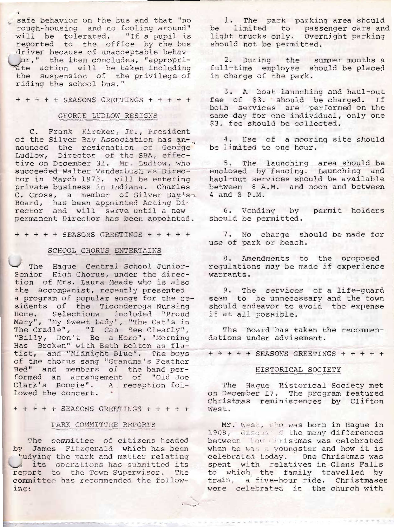safe behavior on the bus and that "no rough-housing and no fooling around"<br>will be tolerated. "If a pupil is<br>reported to the office by the bus<br>driver because of unacceptable behavor," the item concludes, "appropri-<br>ate action will be taken including<br>the suspension of the privilege of<br>riding the school bus."

+ + + + + SEASONS GREETINGS + + + + +

### GEORGE LUDLOW RESTGNS

C. Frank Kireker, Jr., President<br>of the Silver Bay Association has an-<br>nounced the resignation of George<br>Ludlow, Director of the SBA, effec-<br>tive on December 31. Mr. Ludlow, who<br>succeeded Walter Vanderbush as Direc-<br>tor in

 $++++++$  SEASONS GREETINGS  $+++++$ 

# SCHOOL CHORUS ENTERTAINS

The Hague Central School Junior-<br>Senior High Chorus, under the direc-<br>tion of Mrs. Laura Meade who is also<br>the accompanist, recently presented<br>a program of popular songs for the re-<br>sidents of the Ticonderoga Nursing<br>Home.

+ + + + + SEASONS GREETINGS + + + + +

### PARK COMMITTEE REPORTS

The committee of citizens headed<br>by James Fitzgerald which has been udying the park and matter relating<br>its operations has submitted its<br>report to the Town Supervisor. The<br>committee has recommended the follow-<br>ing:

- 2

1. The park parking area should<br>be limited to passenger cars and<br>light trucks only. Overnight parking<br>should not be permitted.

2. During the summer months a full-time employee should be placed in charge of the park.

3. A boat launching and haul-out<br>tee of \$3. should be charged. If<br>both services are performed on the same day for one individual, only one  $3.$  fee should be collected.

4. Use of a mooring site should<br>be limited to one hour.

5. The launching area should be enclosed by fencing. Launching and haul-out services should be available between 8 A.M. and noon and between 4 and 8 P.M.

6. Vending by permit holders<br>should be permitted.

7. No charge should be made for use of park or beach.

8. Amendments to the proposed<br>regulations may be made if experience<br>warrants.

9. The services of a life-guard seem to be unnecessary and the town should endeavor to avoid the expense if at all possible.

The Board has taken the recommen-<br>dations under advisement.

 $+++++$  SEASONS GREETINGS  $+++++$ 

# HISTORICAL SOCIETY

The Hague Historical Society met<br>on December 17. The program featured Christmas reminiscences by Clifton<br>West.

Mr. West, who was born in Hague in 1908, discus dihe many differences<br>between low Ciristmas was celebrated<br>when he was a youngster and how it is<br>celebrated today. One Christmas was<br>spent with relatives in Glens Falls<br>to which the family travelled by<br>train, train, a five-hour ride. Christmases<br>were celebrated in the church with